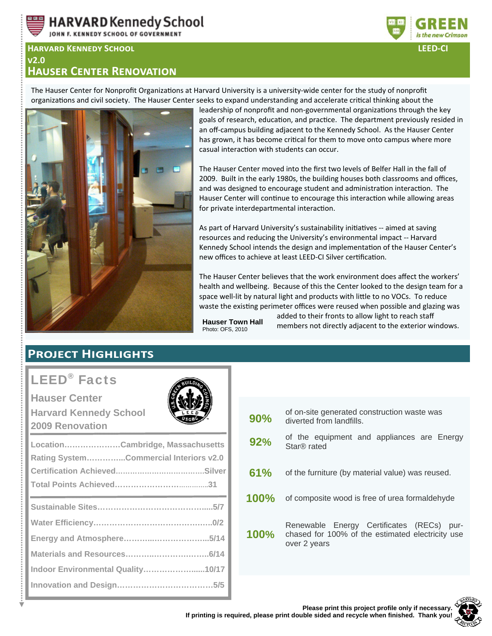

JOHN F. KENNEDY SCHOOL OF GOVERNMENT

#### **HARVARD KENNEDY SCHOOL**  $V<sub>2.0</sub>$ **HAUSER CENTER RENOVATION**



**LEED-CI** 

The Hauser Center for Nonprofit Organizations at Harvard University is a university-wide center for the study of nonprofit organizations and civil society. The Hauser Center seeks to expand understanding and accelerate critical thinking about the



leadership of nonprofit and non-governmental organizations through the key goals of research, education, and practice. The department previously resided in an off-campus building adjacent to the Kennedy School. As the Hauser Center has grown, it has become critical for them to move onto campus where more casual interaction with students can occur.

The Hauser Center moved into the first two levels of Belfer Hall in the fall of 2009. Built in the early 1980s, the building houses both classrooms and offices, and was designed to encourage student and administration interaction. The Hauser Center will continue to encourage this interaction while allowing areas for private interdepartmental interaction.

As part of Harvard University's sustainability initiatives -- aimed at saving resources and reducing the University's environmental impact -- Harvard Kennedy School intends the design and implementation of the Hauser Center's new offices to achieve at least LEED-CI Silver certification.

The Hauser Center believes that the work environment does affect the workers' health and wellbeing. Because of this the Center looked to the design team for a space well-lit by natural light and products with little to no VOCs. To reduce waste the existing perimeter offices were reused when possible and glazing was

**Hauser Town Hall** Photo: OFS, 2010

added to their fronts to allow light to reach staff members not directly adjacent to the exterior windows.

# **PROJECT HIGHLIGHTS**

# **LEED<sup>®</sup>** Facts

**Hauser Center Harvard Kennedy School** 2009 Renovation

| LocationCambridge, Massachusetts<br>Rating SystemCommercial Interiors v2.0 |  |  |  |
|----------------------------------------------------------------------------|--|--|--|
|                                                                            |  |  |  |
|                                                                            |  |  |  |
|                                                                            |  |  |  |
|                                                                            |  |  |  |
|                                                                            |  |  |  |
|                                                                            |  |  |  |
| Indoor Environmental Quality10/17                                          |  |  |  |
|                                                                            |  |  |  |
|                                                                            |  |  |  |

| 90%         | of on-site generated construction waste was<br>diverted from landfills.                                          |  |  |
|-------------|------------------------------------------------------------------------------------------------------------------|--|--|
| 92%         | of the equipment and appliances are Energy<br>Star® rated                                                        |  |  |
| 61%         | of the furniture (by material value) was reused.                                                                 |  |  |
| <b>100%</b> | of composite wood is free of urea formaldehyde                                                                   |  |  |
| 100%        | Renewable Energy Certificates (RECs)<br>pur-<br>chased for 100% of the estimated electricity use<br>over 2 years |  |  |
|             |                                                                                                                  |  |  |

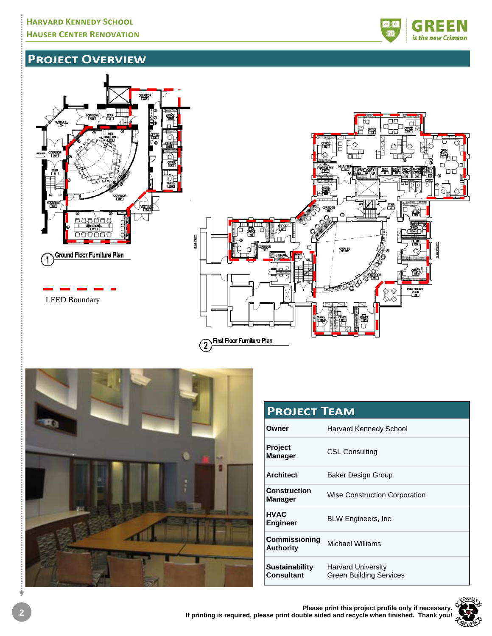

# **PROJECT OVERVIEW**





| <b>PROJECT TEAM</b>                        |                                                             |  |
|--------------------------------------------|-------------------------------------------------------------|--|
| Owner                                      | Harvard Kennedy School                                      |  |
| <b>Project</b><br><b>Manager</b>           | <b>CSL Consulting</b>                                       |  |
| <b>Architect</b>                           | Baker Design Group                                          |  |
| <b>Construction</b><br><b>Manager</b>      | <b>Wise Construction Corporation</b>                        |  |
| <b>HVAC</b><br><b>Engineer</b>             | BLW Engineers, Inc.                                         |  |
| Commissioning<br><b>Authority</b>          | Michael Williams                                            |  |
| <b>Sustainability</b><br><b>Consultant</b> | <b>Harvard University</b><br><b>Green Building Services</b> |  |

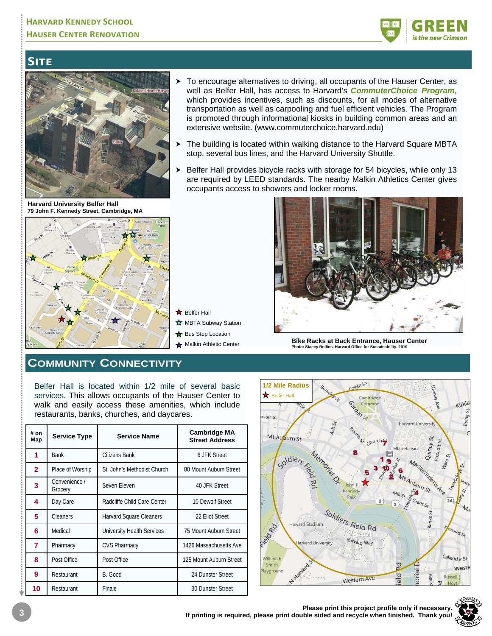

# SITE



**Harvard University Belfer Hall** 



- To encourage alternatives to driving, all occupants of the Hauser Center, as well as Belfer Hall, has access to Harvard's *CommuterChoice Program*, which provides incentives, such as discounts, for all modes of alternative transportation as well as carpooling and fuel efficient vehicles. The Program is promoted through informational kiosks in building common areas and an extensive website. (www.commuterchoice.harvard.edu)
- The building is located within walking distance to the Harvard Square MBTA stop, several bus lines, and the Harvard University Shuttle.
- > Belfer Hall provides bicycle racks with storage for 54 bicycles, while only 13 are required by LEED standards. The nearby Malkin Athletics Center gives occupants access to showers and locker rooms.



**Bike Racks at Back Entrance, Hauser Center**<br>**Photo: Stacev Rollins. Harvard Office for Sustainability. 2010 Phacey Rollins. Harvard Office for Sustainability** 

### **COMMUNITY CONNECTIVITY**

Belfer Hall is located within 1/2 mile of several basic services. This allows occupants of the Hauser Center to walk and easily access these amenities, which include restaurants, banks, churches, and daycares.

**x** Belfer Hall

**☆** MBTA Subway Station Bus Stop Location

| # on<br>Map  | <b>Service Type</b>      | <b>Service Name</b>         | <b>Cambridge MA</b><br><b>Street Address</b> |
|--------------|--------------------------|-----------------------------|----------------------------------------------|
| 1            | <b>Bank</b>              | Citizens Bank               | 6.JFK Street                                 |
| $\mathbf{2}$ | Place of Worship         | St. John's Methodist Church | 80 Mount Auburn Street                       |
| 3            | Convenience /<br>Grocery | Seven Eleven                | 40 JFK Street                                |
| 4            | Day Care                 | Radcliffe Child Care Center | 10 Dewolf Street                             |
| 5            | Cleaners                 | Harvard Square Cleaners     | 22 Eliot Street                              |
| 6            | Medical                  | University Health Services  | 75 Mount Auburn Street                       |
| 7            | Pharmacy                 | <b>CVS Pharmacy</b>         | 1426 Massachusetts Ave                       |
| 8            | Post Office              | Post Office                 | 125 Mount Auburn Street                      |
| 9            | Restaurant               | B. Good                     | 24 Dunster Street                            |
| 10           | Restaurant               | Finale                      | 30 Dunster Street                            |

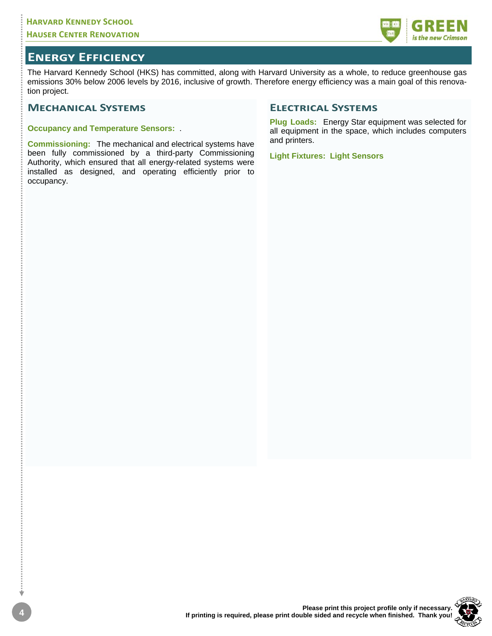

### **ENERGY EFFICIENCY**

The Harvard Kennedy School (HKS) has committed, along with Harvard University as a whole, to reduce greenhouse gas emissions 30% below 2006 levels by 2016, inclusive of growth. Therefore energy efficiency was a main goal of this renovation project.

#### **MECHANICAL SYSTEMS**

**Occupancy and Temperature Sensors:** .

**Commissioning:** The mechanical and electrical systems have been fully commissioned by a third-party Commissioning Authority, which ensured that all energy-related systems were installed as designed, and operating efficiently prior to occupancy.

#### **ELECTRICAL SYSTEMS**

**Plug Loads:** Energy Star equipment was selected for all equipment in the space, which includes computers and printers.

**Light Fixtures: Light Sensors** 

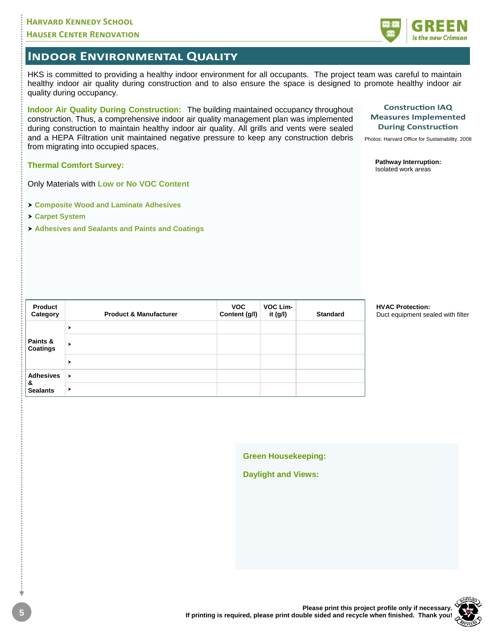#### **HARVARD KENNEDY SCHOOL HAUSER CENTER RENOVATION**

### **INDOOR ENVIRONMENTAL QUALITY**

HKS is committed to providing a healthy indoor environment for all occupants. The project team was careful to maintain healthy indoor air quality during construction and to also ensure the space is designed to promote healthy indoor air quality during occupancy.

Indoor Air Quality During Construction: The building maintained occupancy throughout construction. Thus, a comprehensive indoor air quality management plan was implemented during construction to maintain healthy indoor air quality. All grills and vents were sealed and a HEPA Filtration unit maintained negative pressure to keep any construction debris from migrating into occupied spaces.

**Thermal Comfort Survey:** 

Only Materials with Low or No VOC Content

- > Composite Wood and Laminate Adhesives
- > Carpet System

**Product** 

Category

Paints &

**Coatings** 

**Adhesives** 

**Sealants** 

&

 $\rightarrow$ 

 $\blacktriangleright$ 

 $\ddot{\phantom{0}}$ 

 $\lambda$ 

 $\mathbf{r}$ 

> Adhesives and Sealants and Paints and Coatings

**Product & Manufacturer** 

**Construction IAQ Measures Implemented During Construction** 

Photos: Harvard Office for Sustainability. 2008

Pathway Interruption: Isolated work areas

**HVAC Protection:** Duct equipment sealed with filter

**Green Housekeeping:** 

VOC Lim-

it (g/l)

**Standard** 

**VOC** 

Content (g/l)

**Daylight and Views:**